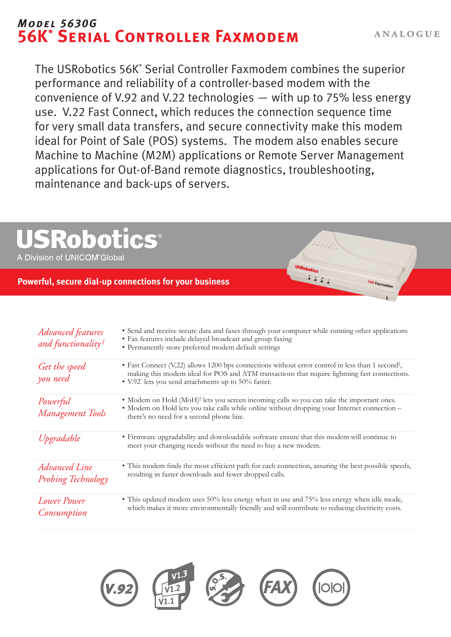# *Model 5630G* **56K\* Serial Controller Faxmodem**

56K Faxmoden

The USRobotics 56K\* Serial Controller Faxmodem combines the superior performance and reliability of a controller-based modem with the convenience of V.92 and V.22 technologies — with up to 75% less energy use. V.22 Fast Connect, which reduces the connection sequence time for very small data transfers, and secure connectivity make this modem ideal for Point of Sale (POS) systems. The modem also enables secure Machine to Machine (M2M) applications or Remote Server Management applications for Out-of-Band remote diagnostics, troubleshooting, maintenance and back-ups of servers.

# **SRobot CS®**

A Division of UNICOM<sup>®</sup>Global

# **Powerful, secure dial-up connections for your business**

| <b>Advanced</b> features<br>and functionality# | • Send and receive secure data and faxes through your computer while running other applications<br>• Fax features include delayed broadcast and group faxing<br>• Permanently store preferred modem default settings                                                             |
|------------------------------------------------|----------------------------------------------------------------------------------------------------------------------------------------------------------------------------------------------------------------------------------------------------------------------------------|
| Get the speed<br>you need                      | • Fast Connect (V.22) allows 1200 bps connections without error control in less than 1 second <sup>§</sup> ,<br>making this modem ideal for POS and ATM transactions that require lightning fast connections.<br>• V.92 <sup>*</sup> lets you send attachments up to 50% faster. |
| Powerful<br>Management Tools                   | • Modem on Hold (MoH) <sup>†</sup> lets you screen incoming calls so you can take the important ones.<br>• Modem on Hold lets you take calls while online without dropping your Internet connection –<br>there's no need for a second phone line.                                |
| Upgradable                                     | • Firmware upgradability and downloadable software ensure that this modem will continue to<br>meet your changing needs without the need to buy a new modem.                                                                                                                      |
| <b>Advanced Line</b><br>Probing Technology     | • This modem finds the most efficient path for each connection, assuring the best possible speeds,<br>resulting in faster downloads and fewer dropped calls.                                                                                                                     |
| <b>Lower Power</b><br>Consumption              | • This updated modem uses 50% less energy when in use and 75% less energy when idle mode,<br>which makes it more environmentally friendly and will contribute to reducing electricity costs.                                                                                     |